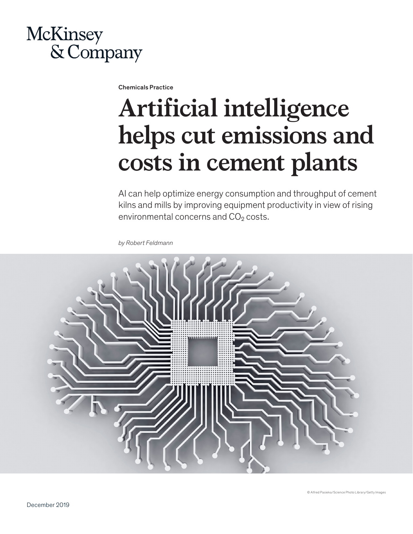

Chemicals Practice

## **Artificial intelligence helps cut emissions and costs in cement plants**

AI can help optimize energy consumption and throughput of cement kilns and mills by improving equipment productivity in view of rising environmental concerns and CO<sub>2</sub> costs.

*by Robert Feldmann*

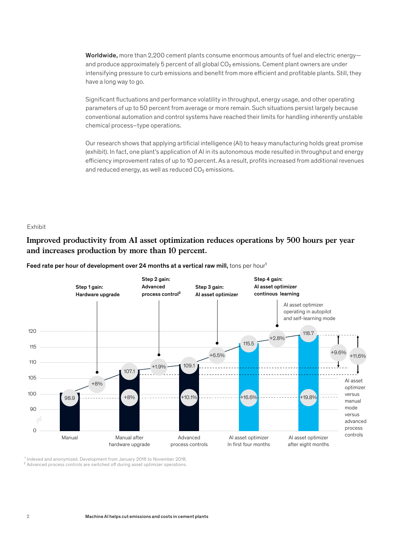Worldwide, more than 2,200 cement plants consume enormous amounts of fuel and electric energyand produce approximately 5 percent of all global  $CO<sub>2</sub>$  emissions. Cement plant owners are under intensifying pressure to curb emissions and benefit from more efficient and profitable plants. Still, they have a long way to go.

Significant fluctuations and performance volatility in throughput, energy usage, and other operating parameters of up to 50 percent from average or more remain. Such situations persist largely because conventional automation and control systems have reached their limits for handling inherently unstable chemical process–type operations.

Our research shows that applying artificial intelligence (AI) to heavy manufacturing holds great promise (exhibit). In fact, one plant's application of AI in its autonomous mode resulted in throughput and energy efficiency improvement rates of up to 10 percent. As a result, profits increased from additional revenues and reduced energy, as well as reduced  $CO<sub>2</sub>$  emissions. emca AI peak performance

## Exhibit

## **Improved productivity from AI asset optimization reduces operations by 500 hours per year and increases production by more than 10 percent.**

Feed rate per hour of development over 24 months at a vertical raw mill, tons per hour<sup>1</sup>



<sup>1</sup> Indexed and anonymized. Development from January 2016 to November 2018. <sup>2</sup> Advanced process controls are switched off during asset optimizer operations.